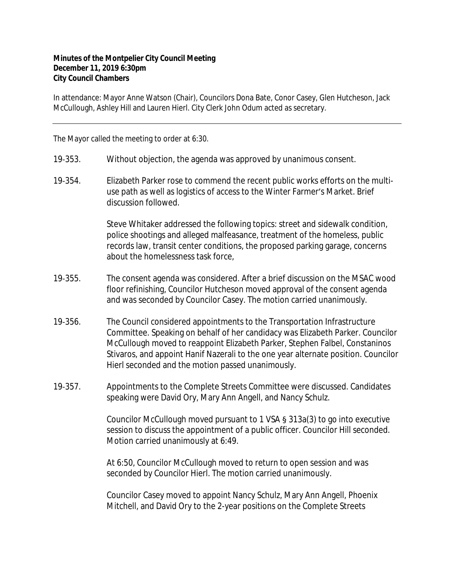## **Minutes of the Montpelier City Council Meeting December 11, 2019 6:30pm City Council Chambers**

In attendance: Mayor Anne Watson (Chair), Councilors Dona Bate, Conor Casey, Glen Hutcheson, Jack McCullough, Ashley Hill and Lauren Hierl. City Clerk John Odum acted as secretary.

The Mayor called the meeting to order at 6:30.

- 19‐353. Without objection, the agenda was approved by unanimous consent.
- 19‐354. Elizabeth Parker rose to commend the recent public works efforts on the multiuse path as well as logistics of access to the Winter Farmer's Market. Brief discussion followed.

Steve Whitaker addressed the following topics: street and sidewalk condition, police shootings and alleged malfeasance, treatment of the homeless, public records law, transit center conditions, the proposed parking garage, concerns about the homelessness task force,

- 19‐355. The consent agenda was considered. After a brief discussion on the MSAC wood floor refinishing, Councilor Hutcheson moved approval of the consent agenda and was seconded by Councilor Casey. The motion carried unanimously.
- 19‐356. The Council considered appointments to the Transportation Infrastructure Committee. Speaking on behalf of her candidacy was Elizabeth Parker. Councilor McCullough moved to reappoint Elizabeth Parker, Stephen Falbel, Constaninos Stivaros, and appoint Hanif Nazerali to the one year alternate position. Councilor Hierl seconded and the motion passed unanimously.
- 19‐357. Appointments to the Complete Streets Committee were discussed. Candidates speaking were David Ory, Mary Ann Angell, and Nancy Schulz.

Councilor McCullough moved pursuant to 1 VSA § 313a(3) to go into executive session to discuss the appointment of a public officer. Councilor Hill seconded. Motion carried unanimously at 6:49.

At 6:50, Councilor McCullough moved to return to open session and was seconded by Councilor Hierl. The motion carried unanimously.

Councilor Casey moved to appoint Nancy Schulz, Mary Ann Angell, Phoenix Mitchell, and David Ory to the 2-year positions on the Complete Streets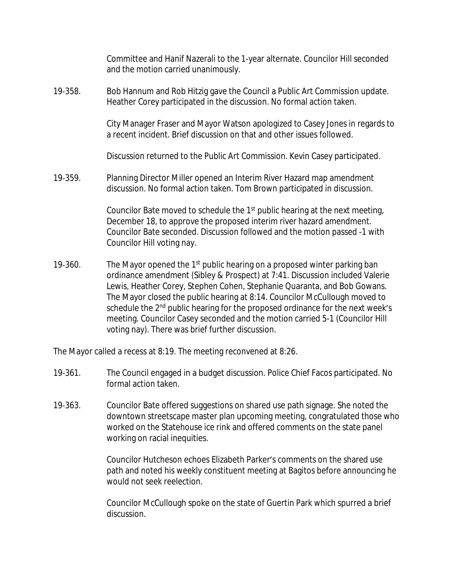Committee and Hanif Nazerali to the 1-year alternate. Councilor Hill seconded and the motion carried unanimously.

19‐358. Bob Hannum and Rob Hitzig gave the Council a Public Art Commission update. Heather Corey participated in the discussion. No formal action taken.

> City Manager Fraser and Mayor Watson apologized to Casey Jones in regards to a recent incident. Brief discussion on that and other issues followed.

Discussion returned to the Public Art Commission. Kevin Casey participated.

19‐359. Planning Director Miller opened an Interim River Hazard map amendment discussion. No formal action taken. Tom Brown participated in discussion.

> Councilor Bate moved to schedule the 1st public hearing at the next meeting, December 18, to approve the proposed interim river hazard amendment. Councilor Bate seconded. Discussion followed and the motion passed -1 with Councilor Hill voting nay.

19-360. The Mayor opened the 1<sup>st</sup> public hearing on a proposed winter parking ban ordinance amendment (Sibley & Prospect) at 7:41. Discussion included Valerie Lewis, Heather Corey, Stephen Cohen, Stephanie Quaranta, and Bob Gowans. The Mayor closed the public hearing at 8:14. Councilor McCullough moved to schedule the 2<sup>nd</sup> public hearing for the proposed ordinance for the next week's meeting. Councilor Casey seconded and the motion carried 5-1 (Councilor Hill voting nay). There was brief further discussion.

The Mayor called a recess at 8:19. The meeting reconvened at 8:26.

- 19‐361. The Council engaged in a budget discussion. Police Chief Facos participated. No formal action taken.
- 19‐363. Councilor Bate offered suggestions on shared use path signage. She noted the downtown streetscape master plan upcoming meeting, congratulated those who worked on the Statehouse ice rink and offered comments on the state panel working on racial inequities.

Councilor Hutcheson echoes Elizabeth Parker's comments on the shared use path and noted his weekly constituent meeting at Bagitos before announcing he would not seek reelection.

Councilor McCullough spoke on the state of Guertin Park which spurred a brief discussion.